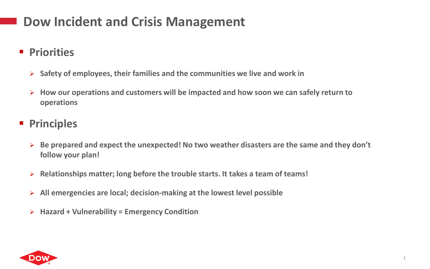## **Dow Incident and Crisis Management**

- **Priorities** 
	- **Safety of employees, their families and the communities we live and work in**
	- **How our operations and customers will be impacted and how soon we can safely return to operations**
- **Principles**
	- **Be prepared and expect the unexpected! No two weather disasters are the same and they don't follow your plan!**
	- **Relationships matter; long before the trouble starts. It takes a team of teams!**
	- **All emergencies are local; decision-making at the lowest level possible**
	- **Hazard + Vulnerability = Emergency Condition**

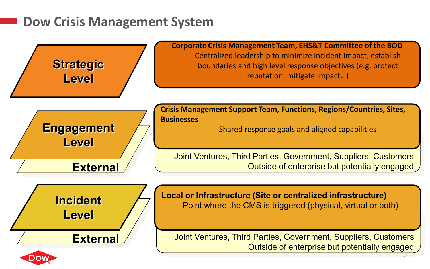## **Dow Crisis Management System**



2